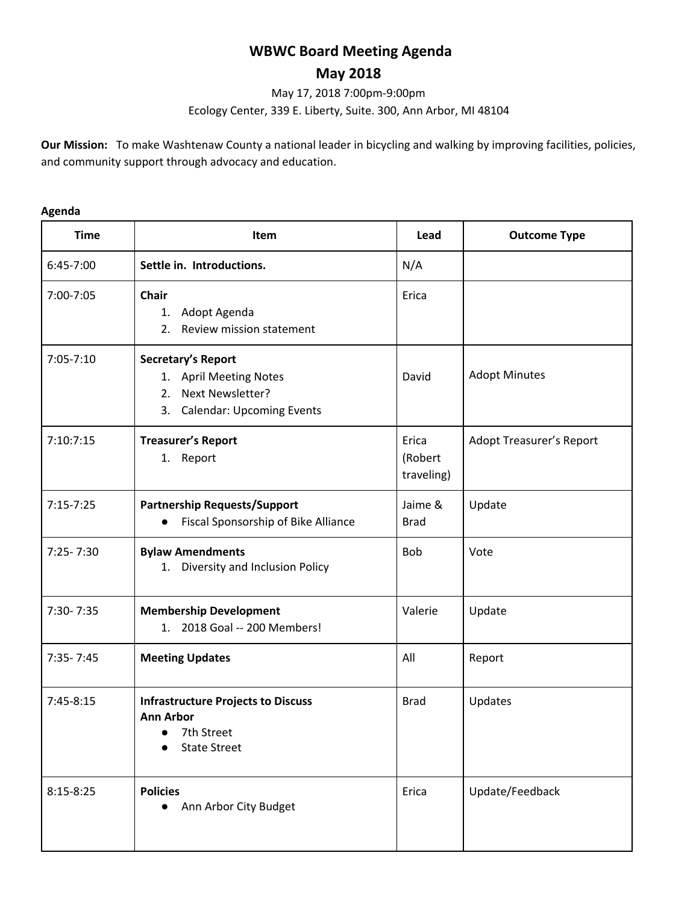# **WBWC Board Meeting Agenda**

# **May 2018**

May 17, 2018 7:00pm-9:00pm

Ecology Center, 339 E. Liberty, Suite. 300, Ann Arbor, MI 48104

**Our Mission:** To make Washtenaw County a national leader in bicycling and walking by improving facilities, policies, and community support through advocacy and education.

#### **Agenda**

| <b>Time</b>   | Item                                                                                                             | Lead                           | <b>Outcome Type</b>             |
|---------------|------------------------------------------------------------------------------------------------------------------|--------------------------------|---------------------------------|
| $6:45-7:00$   | Settle in. Introductions.                                                                                        | N/A                            |                                 |
| 7:00-7:05     | Chair<br>Adopt Agenda<br>1.<br>Review mission statement<br>2.                                                    | Erica                          |                                 |
| $7:05 - 7:10$ | Secretary's Report<br>1. April Meeting Notes<br>Next Newsletter?<br>2.<br>3.<br><b>Calendar: Upcoming Events</b> | David                          | <b>Adopt Minutes</b>            |
| 7:10:7:15     | <b>Treasurer's Report</b><br>1. Report                                                                           | Erica<br>(Robert<br>traveling) | <b>Adopt Treasurer's Report</b> |
| $7:15 - 7:25$ | <b>Partnership Requests/Support</b><br>Fiscal Sponsorship of Bike Alliance                                       | Jaime &<br><b>Brad</b>         | Update                          |
| $7:25 - 7:30$ | <b>Bylaw Amendments</b><br>1. Diversity and Inclusion Policy                                                     | <b>Bob</b>                     | Vote                            |
| 7:30-7:35     | <b>Membership Development</b><br>1. 2018 Goal -- 200 Members!                                                    | Valerie                        | Update                          |
| $7:35 - 7:45$ | <b>Meeting Updates</b>                                                                                           | All                            | Report                          |
| $7:45-8:15$   | <b>Infrastructure Projects to Discuss</b><br><b>Ann Arbor</b><br>7th Street<br><b>State Street</b>               | <b>Brad</b>                    | Updates                         |
| $8:15 - 8:25$ | <b>Policies</b><br>Ann Arbor City Budget                                                                         | Erica                          | Update/Feedback                 |